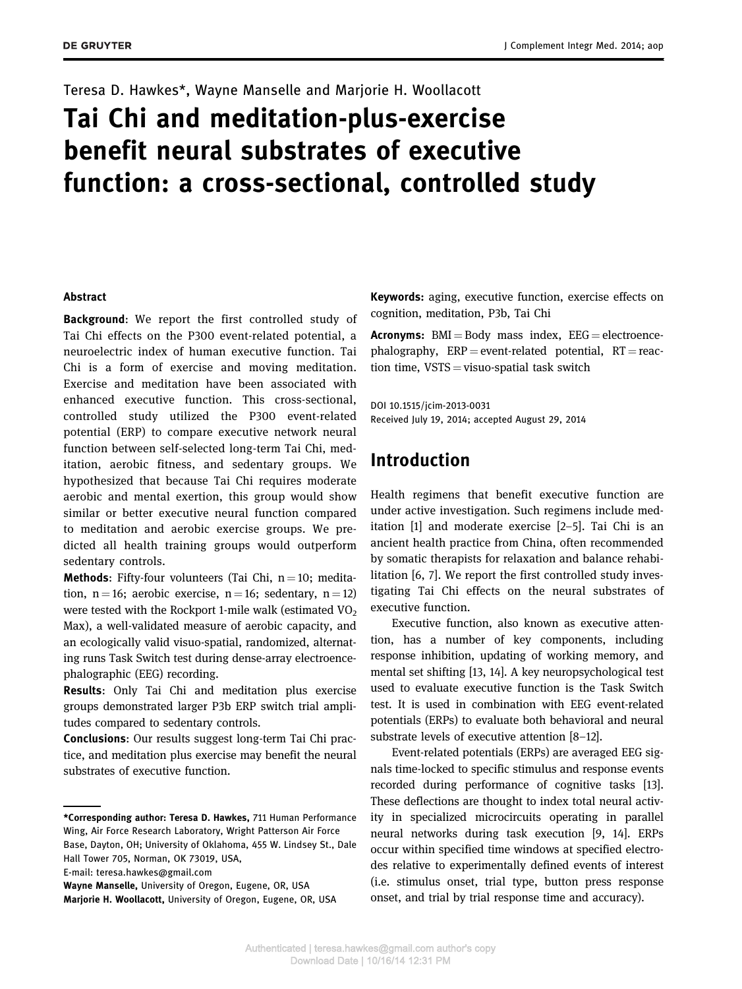Teresa D. Hawkes\*, Wayne Manselle and Marjorie H. Woollacott

# Tai Chi and meditation-plus-exercise benefit neural substrates of executive function: a cross-sectional, controlled study

#### Abstract

**Background:** We report the first controlled study of Tai Chi effects on the P300 event-related potential, a neuroelectric index of human executive function. Tai Chi is a form of exercise and moving meditation. Exercise and meditation have been associated with enhanced executive function. This cross-sectional, controlled study utilized the P300 event-related potential (ERP) to compare executive network neural function between self-selected long-term Tai Chi, meditation, aerobic fitness, and sedentary groups. We hypothesized that because Tai Chi requires moderate aerobic and mental exertion, this group would show similar or better executive neural function compared to meditation and aerobic exercise groups. We predicted all health training groups would outperform sedentary controls.

**Methods:** Fifty-four volunteers (Tai Chi,  $n = 10$ ; meditation,  $n = 16$ ; aerobic exercise,  $n = 16$ ; sedentary,  $n = 12$ ) were tested with the Rockport 1-mile walk (estimated  $VO<sub>2</sub>$ Max), a well-validated measure of aerobic capacity, and an ecologically valid visuo-spatial, randomized, alternating runs Task Switch test during dense-array electroencephalographic (EEG) recording.

Results: Only Tai Chi and meditation plus exercise groups demonstrated larger P3b ERP switch trial amplitudes compared to sedentary controls.

Conclusions: Our results suggest long-term Tai Chi practice, and meditation plus exercise may benefit the neural substrates of executive function.

E-mail: teresa.hawkes@gmail.com

Wayne Manselle, University of Oregon, Eugene, OR, USA

Marjorie H. Woollacott, University of Oregon, Eugene, OR, USA

Keywords: aging, executive function, exercise effects on cognition, meditation, P3b, Tai Chi

**Acronyms:**  $BMI = Body$  mass index,  $EEG = electroence$ phalography,  $ERP = event-related potential, RT = reac$ tion time,  $VSTS = visuo-spatial task switch$ 

DOI 10.1515/jcim-2013-0031 Received July 19, 2014; accepted August 29, 2014

### Introduction

Health regimens that benefit executive function are under active investigation. Such regimens include meditation [1] and moderate exercise [2–5]. Tai Chi is an ancient health practice from China, often recommended by somatic therapists for relaxation and balance rehabilitation [6, 7]. We report the first controlled study investigating Tai Chi effects on the neural substrates of executive function.

Executive function, also known as executive attention, has a number of key components, including response inhibition, updating of working memory, and mental set shifting [13, 14]. A key neuropsychological test used to evaluate executive function is the Task Switch test. It is used in combination with EEG event-related potentials (ERPs) to evaluate both behavioral and neural substrate levels of executive attention [8–12].

Event-related potentials (ERPs) are averaged EEG signals time-locked to specific stimulus and response events recorded during performance of cognitive tasks [13]. These deflections are thought to index total neural activity in specialized microcircuits operating in parallel neural networks during task execution [9, 14]. ERPs occur within specified time windows at specified electrodes relative to experimentally defined events of interest (i.e. stimulus onset, trial type, button press response onset, and trial by trial response time and accuracy).

<sup>\*</sup>Corresponding author: Teresa D. Hawkes, 711 Human Performance Wing, Air Force Research Laboratory, Wright Patterson Air Force Base, Dayton, OH; University of Oklahoma, 455 W. Lindsey St., Dale Hall Tower 705, Norman, OK 73019, USA,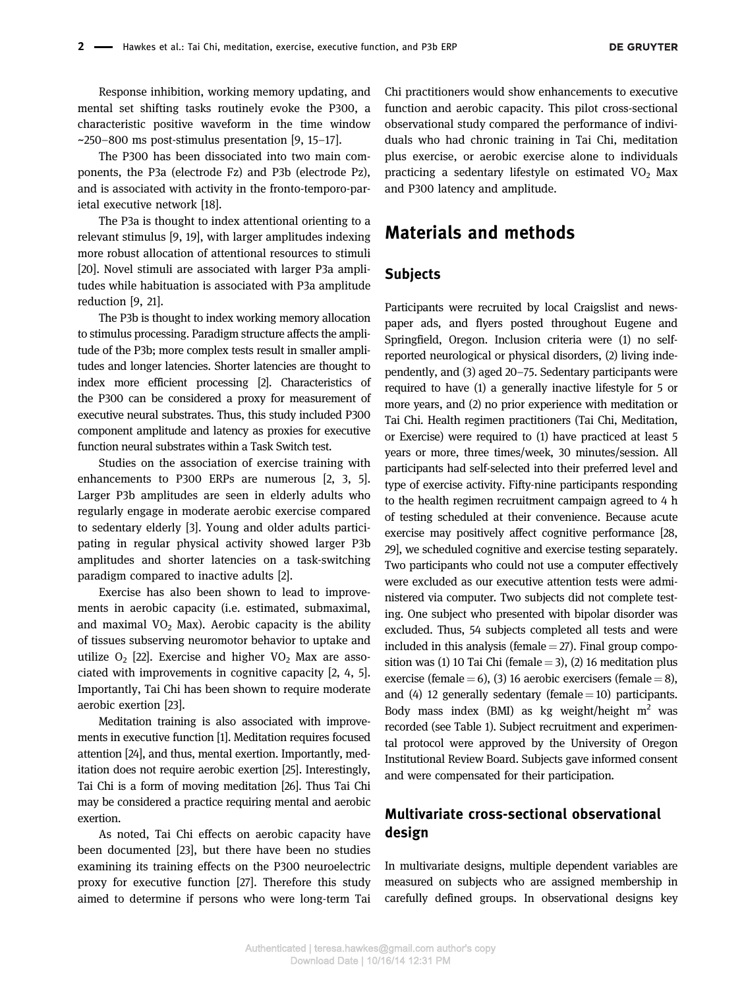Response inhibition, working memory updating, and mental set shifting tasks routinely evoke the P300, a characteristic positive waveform in the time window ~250–800 ms post-stimulus presentation [9, 15–17].

The P300 has been dissociated into two main components, the P3a (electrode Fz) and P3b (electrode Pz), and is associated with activity in the fronto-temporo-parietal executive network [18].

The P3a is thought to index attentional orienting to a relevant stimulus [9, 19], with larger amplitudes indexing more robust allocation of attentional resources to stimuli [20]. Novel stimuli are associated with larger P3a amplitudes while habituation is associated with P3a amplitude reduction [9, 21].

The P3b is thought to index working memory allocation to stimulus processing. Paradigm structure affects the amplitude of the P3b; more complex tests result in smaller amplitudes and longer latencies. Shorter latencies are thought to index more efficient processing [2]. Characteristics of the P300 can be considered a proxy for measurement of executive neural substrates. Thus, this study included P300 component amplitude and latency as proxies for executive function neural substrates within a Task Switch test.

Studies on the association of exercise training with enhancements to P300 ERPs are numerous [2, 3, 5]. Larger P3b amplitudes are seen in elderly adults who regularly engage in moderate aerobic exercise compared to sedentary elderly [3]. Young and older adults participating in regular physical activity showed larger P3b amplitudes and shorter latencies on a task-switching paradigm compared to inactive adults [2].

Exercise has also been shown to lead to improvements in aerobic capacity (i.e. estimated, submaximal, and maximal  $VO<sub>2</sub>$  Max). Aerobic capacity is the ability of tissues subserving neuromotor behavior to uptake and utilize  $O_2$  [22]. Exercise and higher VO<sub>2</sub> Max are associated with improvements in cognitive capacity [2, 4, 5]. Importantly, Tai Chi has been shown to require moderate aerobic exertion [23].

Meditation training is also associated with improvements in executive function [1]. Meditation requires focused attention [24], and thus, mental exertion. Importantly, meditation does not require aerobic exertion [25]. Interestingly, Tai Chi is a form of moving meditation [26]. Thus Tai Chi may be considered a practice requiring mental and aerobic exertion.

As noted, Tai Chi effects on aerobic capacity have been documented [23], but there have been no studies examining its training effects on the P300 neuroelectric proxy for executive function [27]. Therefore this study aimed to determine if persons who were long-term Tai

Chi practitioners would show enhancements to executive function and aerobic capacity. This pilot cross-sectional observational study compared the performance of individuals who had chronic training in Tai Chi, meditation plus exercise, or aerobic exercise alone to individuals practicing a sedentary lifestyle on estimated  $VO<sub>2</sub>$  Max and P300 latency and amplitude.

### Materials and methods

### Subjects

Participants were recruited by local Craigslist and newspaper ads, and flyers posted throughout Eugene and Springfield, Oregon. Inclusion criteria were (1) no selfreported neurological or physical disorders, (2) living independently, and (3) aged 20–75. Sedentary participants were required to have (1) a generally inactive lifestyle for 5 or more years, and (2) no prior experience with meditation or Tai Chi. Health regimen practitioners (Tai Chi, Meditation, or Exercise) were required to (1) have practiced at least 5 years or more, three times/week, 30 minutes/session. All participants had self-selected into their preferred level and type of exercise activity. Fifty-nine participants responding to the health regimen recruitment campaign agreed to 4 h of testing scheduled at their convenience. Because acute exercise may positively affect cognitive performance [28, 29], we scheduled cognitive and exercise testing separately. Two participants who could not use a computer effectively were excluded as our executive attention tests were administered via computer. Two subjects did not complete testing. One subject who presented with bipolar disorder was excluded. Thus, 54 subjects completed all tests and were included in this analysis (female  $=$  27). Final group composition was (1) 10 Tai Chi (female  $=$  3), (2) 16 meditation plus exercise (female  $= 6$ ), (3) 16 aerobic exercisers (female  $= 8$ ), and (4) 12 generally sedentary (female  $= 10$ ) participants. Body mass index (BMI) as kg weight/height  $m<sup>2</sup>$  was recorded (see Table 1). Subject recruitment and experimental protocol were approved by the University of Oregon Institutional Review Board. Subjects gave informed consent and were compensated for their participation.

### Multivariate cross-sectional observational design

In multivariate designs, multiple dependent variables are measured on subjects who are assigned membership in carefully defined groups. In observational designs key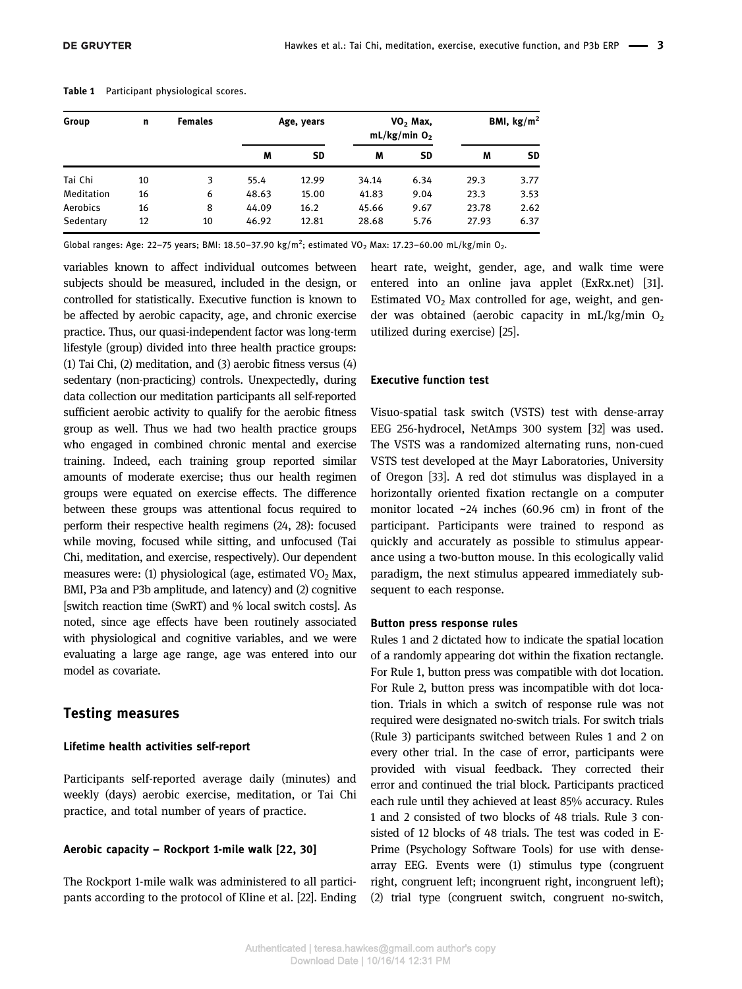| Group      | n  | <b>Females</b> | Age, years |       | VO <sub>2</sub> Max,<br>mL/kg/min O <sub>2</sub> |      | BMI, $\text{kg/m}^2$ |           |
|------------|----|----------------|------------|-------|--------------------------------------------------|------|----------------------|-----------|
|            |    |                | M          | SD    | M                                                | SD   | M                    | <b>SD</b> |
| Tai Chi    | 10 | 3              | 55.4       | 12.99 | 34.14                                            | 6.34 | 29.3                 | 3.77      |
| Meditation | 16 | 6              | 48.63      | 15.00 | 41.83                                            | 9.04 | 23.3                 | 3.53      |
| Aerobics   | 16 | 8              | 44.09      | 16.2  | 45.66                                            | 9.67 | 23.78                | 2.62      |
| Sedentary  | 12 | 10             | 46.92      | 12.81 | 28.68                                            | 5.76 | 27.93                | 6.37      |

Table 1 Participant physiological scores.

Global ranges: Age: 22-75 years; BMI: 18.50-37.90 kg/m<sup>2</sup>; estimated VO<sub>2</sub> Max: 17.23-60.00 mL/kg/min O<sub>2</sub>.

variables known to affect individual outcomes between subjects should be measured, included in the design, or controlled for statistically. Executive function is known to be affected by aerobic capacity, age, and chronic exercise practice. Thus, our quasi-independent factor was long-term lifestyle (group) divided into three health practice groups: (1) Tai Chi, (2) meditation, and (3) aerobic fitness versus (4) sedentary (non-practicing) controls. Unexpectedly, during data collection our meditation participants all self-reported sufficient aerobic activity to qualify for the aerobic fitness group as well. Thus we had two health practice groups who engaged in combined chronic mental and exercise training. Indeed, each training group reported similar amounts of moderate exercise; thus our health regimen groups were equated on exercise effects. The difference between these groups was attentional focus required to perform their respective health regimens (24, 28): focused while moving, focused while sitting, and unfocused (Tai Chi, meditation, and exercise, respectively). Our dependent measures were: (1) physiological (age, estimated  $VO<sub>2</sub>$  Max, BMI, P3a and P3b amplitude, and latency) and (2) cognitive [switch reaction time (SwRT) and % local switch costs]. As noted, since age effects have been routinely associated with physiological and cognitive variables, and we were evaluating a large age range, age was entered into our model as covariate.

### Testing measures

#### Lifetime health activities self-report

Participants self-reported average daily (minutes) and weekly (days) aerobic exercise, meditation, or Tai Chi practice, and total number of years of practice.

#### Aerobic capacity – Rockport 1-mile walk [22, 30]

The Rockport 1-mile walk was administered to all participants according to the protocol of Kline et al. [22]. Ending heart rate, weight, gender, age, and walk time were entered into an online java applet (ExRx.net) [31]. Estimated  $VO<sub>2</sub>$  Max controlled for age, weight, and gender was obtained (aerobic capacity in  $mL/kg/min$  O<sub>2</sub> utilized during exercise) [25].

#### Executive function test

Visuo-spatial task switch (VSTS) test with dense-array EEG 256-hydrocel, NetAmps 300 system [32] was used. The VSTS was a randomized alternating runs, non-cued VSTS test developed at the Mayr Laboratories, University of Oregon [33]. A red dot stimulus was displayed in a horizontally oriented fixation rectangle on a computer monitor located ~24 inches (60.96 cm) in front of the participant. Participants were trained to respond as quickly and accurately as possible to stimulus appearance using a two-button mouse. In this ecologically valid paradigm, the next stimulus appeared immediately subsequent to each response.

#### Button press response rules

Rules 1 and 2 dictated how to indicate the spatial location of a randomly appearing dot within the fixation rectangle. For Rule 1, button press was compatible with dot location. For Rule 2, button press was incompatible with dot location. Trials in which a switch of response rule was not required were designated no-switch trials. For switch trials (Rule 3) participants switched between Rules 1 and 2 on every other trial. In the case of error, participants were provided with visual feedback. They corrected their error and continued the trial block. Participants practiced each rule until they achieved at least 85% accuracy. Rules 1 and 2 consisted of two blocks of 48 trials. Rule 3 consisted of 12 blocks of 48 trials. The test was coded in E-Prime (Psychology Software Tools) for use with densearray EEG. Events were (1) stimulus type (congruent right, congruent left; incongruent right, incongruent left); (2) trial type (congruent switch, congruent no-switch,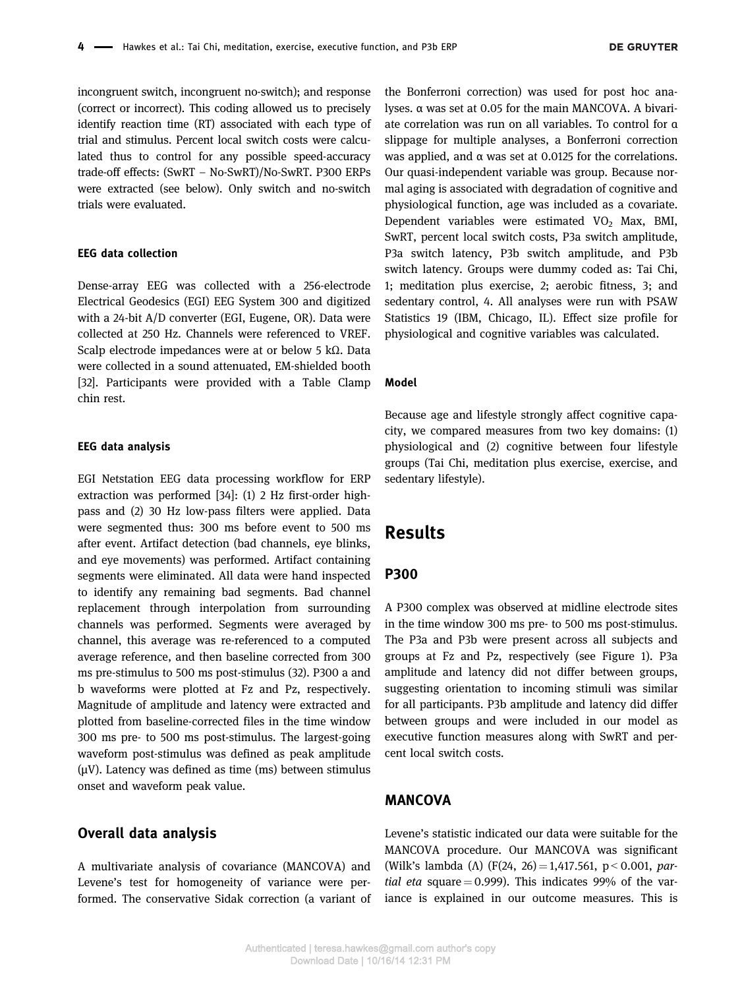incongruent switch, incongruent no-switch); and response (correct or incorrect). This coding allowed us to precisely identify reaction time (RT) associated with each type of trial and stimulus. Percent local switch costs were calculated thus to control for any possible speed-accuracy trade-off effects: (SwRT – No-SwRT)/No-SwRT. P300 ERPs were extracted (see below). Only switch and no-switch trials were evaluated.

#### EEG data collection

Dense-array EEG was collected with a 256-electrode Electrical Geodesics (EGI) EEG System 300 and digitized with a 24-bit A/D converter (EGI, Eugene, OR). Data were collected at 250 Hz. Channels were referenced to VREF. Scalp electrode impedances were at or below 5 kΩ. Data were collected in a sound attenuated, EM-shielded booth [32]. Participants were provided with a Table Clamp chin rest.

#### EEG data analysis

EGI Netstation EEG data processing workflow for ERP extraction was performed [34]: (1) 2 Hz first-order highpass and (2) 30 Hz low-pass filters were applied. Data were segmented thus: 300 ms before event to 500 ms after event. Artifact detection (bad channels, eye blinks, and eye movements) was performed. Artifact containing segments were eliminated. All data were hand inspected to identify any remaining bad segments. Bad channel replacement through interpolation from surrounding channels was performed. Segments were averaged by channel, this average was re-referenced to a computed average reference, and then baseline corrected from 300 ms pre-stimulus to 500 ms post-stimulus (32). P300 a and b waveforms were plotted at Fz and Pz, respectively. Magnitude of amplitude and latency were extracted and plotted from baseline-corrected files in the time window 300 ms pre- to 500 ms post-stimulus. The largest-going waveform post-stimulus was defined as peak amplitude  $(\mu V)$ . Latency was defined as time (ms) between stimulus onset and waveform peak value.

#### Overall data analysis

A multivariate analysis of covariance (MANCOVA) and Levene's test for homogeneity of variance were performed. The conservative Sidak correction (a variant of

the Bonferroni correction) was used for post hoc analyses. α was set at 0.05 for the main MANCOVA. A bivariate correlation was run on all variables. To control for ɑ slippage for multiple analyses, a Bonferroni correction was applied, and α was set at 0.0125 for the correlations. Our quasi-independent variable was group. Because normal aging is associated with degradation of cognitive and physiological function, age was included as a covariate. Dependent variables were estimated  $VO<sub>2</sub>$  Max, BMI, SwRT, percent local switch costs, P3a switch amplitude, P3a switch latency, P3b switch amplitude, and P3b switch latency. Groups were dummy coded as: Tai Chi, 1; meditation plus exercise, 2; aerobic fitness, 3; and sedentary control, 4. All analyses were run with PSAW Statistics 19 (IBM, Chicago, IL). Effect size profile for physiological and cognitive variables was calculated.

#### Model

Because age and lifestyle strongly affect cognitive capacity, we compared measures from two key domains: (1) physiological and (2) cognitive between four lifestyle groups (Tai Chi, meditation plus exercise, exercise, and sedentary lifestyle).

### Results

#### P300

A P300 complex was observed at midline electrode sites in the time window 300 ms pre- to 500 ms post-stimulus. The P3a and P3b were present across all subjects and groups at Fz and Pz, respectively (see Figure 1). P3a amplitude and latency did not differ between groups, suggesting orientation to incoming stimuli was similar for all participants. P3b amplitude and latency did differ between groups and were included in our model as executive function measures along with SwRT and percent local switch costs.

#### MANCOVA

Levene's statistic indicated our data were suitable for the MANCOVA procedure. Our MANCOVA was significant (Wilk's lambda (Λ) (F(24, 26) = 1,417.561, p < 0.001, partial eta square  $= 0.999$ . This indicates 99% of the variance is explained in our outcome measures. This is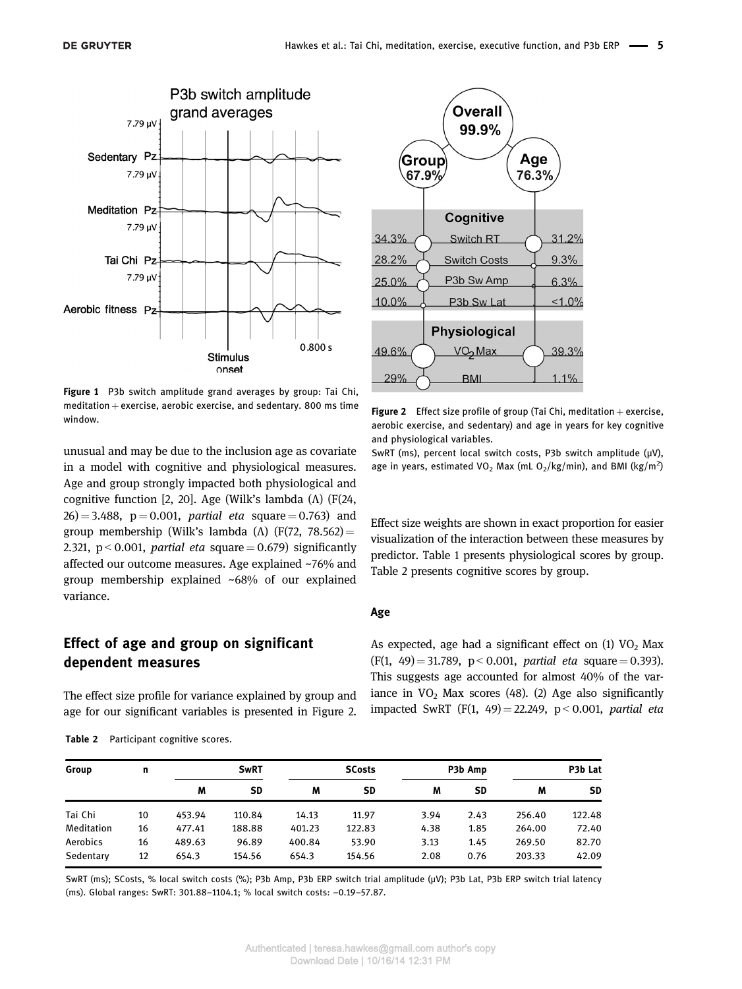

Figure 1 P3b switch amplitude grand averages by group: Tai Chi, meditation  $+$  exercise, aerobic exercise, and sedentary. 800 ms time window.

unusual and may be due to the inclusion age as covariate in a model with cognitive and physiological measures. Age and group strongly impacted both physiological and cognitive function [2, 20]. Age (Wilk's lambda (Λ) (F(24,  $26$ ) = 3.488, p = 0.001, partial eta square = 0.763) and group membership (Wilk's lambda (Λ) (F(72, 78.562) = 2.321,  $p < 0.001$ , partial eta square = 0.679) significantly affected our outcome measures. Age explained ~76% and group membership explained ~68% of our explained variance.

### Effect of age and group on significant dependent measures

The effect size profile for variance explained by group and age for our significant variables is presented in Figure 2.

Table 2 Participant cognitive scores.



**Figure 2** Effect size profile of group (Tai Chi, meditation  $+$  exercise, aerobic exercise, and sedentary) and age in years for key cognitive and physiological variables.

SwRT (ms), percent local switch costs, P3b switch amplitude (μV), age in years, estimated VO<sub>2</sub> Max (mL O<sub>2</sub>/kg/min), and BMI (kg/m<sup>2</sup>)

Effect size weights are shown in exact proportion for easier visualization of the interaction between these measures by predictor. Table 1 presents physiological scores by group. Table 2 presents cognitive scores by group.

#### Age

As expected, age had a significant effect on  $(1)$  VO<sub>2</sub> Max  $(F(1, 49) = 31.789, p < 0.001, partial \text{ eta square} = 0.393).$ This suggests age accounted for almost 40% of the variance in  $VO<sub>2</sub>$  Max scores (48). (2) Age also significantly impacted SwRT (F(1, 49) = 22.249, p < 0.001, partial eta

| Group      | n  | <b>SwRT</b> |        | <b>SCosts</b> |        | P3b Amp |      | P3b Lat |        |
|------------|----|-------------|--------|---------------|--------|---------|------|---------|--------|
|            |    | M           | SD     | м             | SD     | M       | SD   | м       | SD     |
| Tai Chi    | 10 | 453.94      | 110.84 | 14.13         | 11.97  | 3.94    | 2.43 | 256.40  | 122.48 |
| Meditation | 16 | 477.41      | 188.88 | 401.23        | 122.83 | 4.38    | 1.85 | 264.00  | 72.40  |
| Aerobics   | 16 | 489.63      | 96.89  | 400.84        | 53.90  | 3.13    | 1.45 | 269.50  | 82.70  |
| Sedentary  | 12 | 654.3       | 154.56 | 654.3         | 154.56 | 2.08    | 0.76 | 203.33  | 42.09  |

SwRT (ms); SCosts, % local switch costs (%); P3b Amp, P3b ERP switch trial amplitude (μV); P3b Lat, P3b ERP switch trial latency (ms). Global ranges: SwRT: 301.88–1104.1; % local switch costs: –0.19–57.87.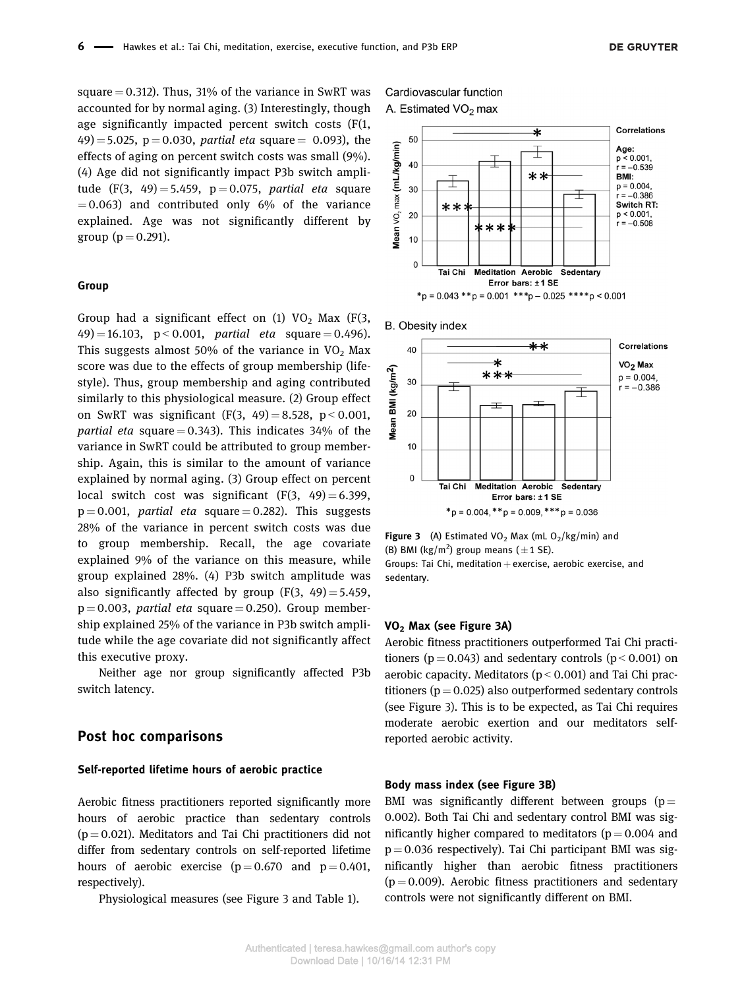square  $= 0.312$ ). Thus, 31% of the variance in SwRT was accounted for by normal aging. (3) Interestingly, though age significantly impacted percent switch costs (F(1,  $(49) = 5.025$ , p = 0.030, partial eta square = 0.093), the effects of aging on percent switch costs was small (9%). (4) Age did not significantly impact P3b switch amplitude (F(3, 49) = 5.459, p = 0.075, partial eta square  $(0.063)$  and contributed only 6% of the variance explained. Age was not significantly different by group ( $p = 0.291$ ).

#### Group

Group had a significant effect on  $(1)$  VO<sub>2</sub> Max (F(3,  $(49) = 16.103$ ,  $p < 0.001$ , partial eta square = 0.496). This suggests almost 50% of the variance in  $VO<sub>2</sub>$  Max score was due to the effects of group membership (lifestyle). Thus, group membership and aging contributed similarly to this physiological measure. (2) Group effect on SwRT was significant  $(F(3, 49) = 8.528, p < 0.001,$ *partial eta* square  $= 0.343$ . This indicates 34% of the variance in SwRT could be attributed to group membership. Again, this is similar to the amount of variance explained by normal aging. (3) Group effect on percent local switch cost was significant  $(F(3, 49) = 6.399,$  $p = 0.001$ , *partial eta* square  $= 0.282$ ). This suggests 28% of the variance in percent switch costs was due to group membership. Recall, the age covariate explained 9% of the variance on this measure, while group explained 28%. (4) P3b switch amplitude was also significantly affected by group  $(F(3, 49) = 5.459,$  $p = 0.003$ , *partial eta* square  $= 0.250$ ). Group membership explained 25% of the variance in P3b switch amplitude while the age covariate did not significantly affect this executive proxy.

Neither age nor group significantly affected P3b switch latency.

#### Post hoc comparisons

#### Self-reported lifetime hours of aerobic practice

Aerobic fitness practitioners reported significantly more hours of aerobic practice than sedentary controls  $(p = 0.021)$ . Meditators and Tai Chi practitioners did not differ from sedentary controls on self-reported lifetime hours of aerobic exercise ( $p = 0.670$  and  $p = 0.401$ , respectively).

Physiological measures (see Figure 3 and Table 1).

#### Cardiovascular function A. Estimated VO<sub>2</sub> max





**Figure 3** (A) Estimated VO<sub>2</sub> Max (mL O<sub>2</sub>/kg/min) and (B) BMI ( $kg/m<sup>2</sup>$ ) group means ( $\pm$ 1 SE). Groups: Tai Chi, meditation  $+$  exercise, aerobic exercise, and sedentary.

#### VO2 Max (see Figure 3A)

Aerobic fitness practitioners outperformed Tai Chi practitioners ( $p = 0.043$ ) and sedentary controls ( $p < 0.001$ ) on aerobic capacity. Meditators  $(p < 0.001)$  and Tai Chi practitioners ( $p = 0.025$ ) also outperformed sedentary controls (see Figure 3). This is to be expected, as Tai Chi requires moderate aerobic exertion and our meditators selfreported aerobic activity.

#### Body mass index (see Figure 3B)

BMI was significantly different between groups ( $p =$ 0.002). Both Tai Chi and sedentary control BMI was significantly higher compared to meditators ( $p = 0.004$  and  $p = 0.036$  respectively). Tai Chi participant BMI was significantly higher than aerobic fitness practitioners  $(p = 0.009)$ . Aerobic fitness practitioners and sedentary controls were not significantly different on BMI.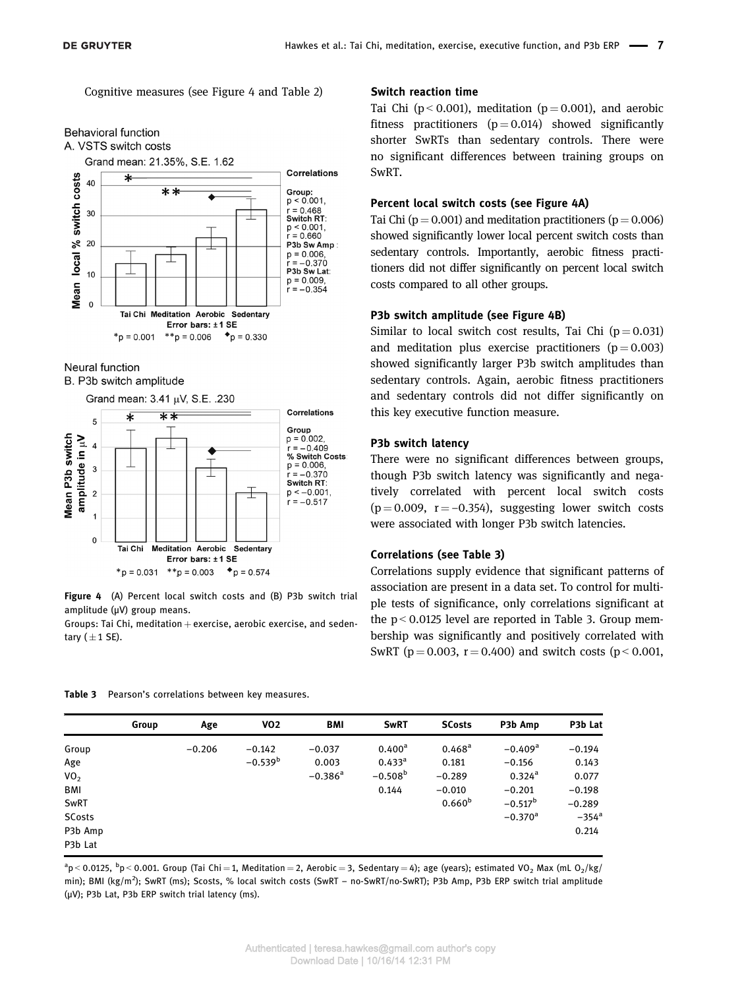Cognitive measures (see Figure 4 and Table 2) **Switch reaction time** 





#### Neural function





Figure 4 (A) Percent local switch costs and (B) P3b switch trial amplitude (μV) group means.

Groups: Tai Chi, meditation  $+$  exercise, aerobic exercise, and sedentary ( $\pm$  1 SE).

Tai Chi ( $p < 0.001$ ), meditation ( $p = 0.001$ ), and aerobic fitness practitioners  $(p = 0.014)$  showed significantly shorter SwRTs than sedentary controls. There were no significant differences between training groups on SwRT.

#### Percent local switch costs (see Figure 4A)

Tai Chi ( $p = 0.001$ ) and meditation practitioners ( $p = 0.006$ ) showed significantly lower local percent switch costs than sedentary controls. Importantly, aerobic fitness practitioners did not differ significantly on percent local switch costs compared to all other groups.

#### P3b switch amplitude (see Figure 4B)

Similar to local switch cost results, Tai Chi ( $p = 0.031$ ) and meditation plus exercise practitioners ( $p = 0.003$ ) showed significantly larger P3b switch amplitudes than sedentary controls. Again, aerobic fitness practitioners and sedentary controls did not differ significantly on this key executive function measure.

#### P3b switch latency

There were no significant differences between groups, though P3b switch latency was significantly and negatively correlated with percent local switch costs  $(p = 0.009, r = -0.354)$ , suggesting lower switch costs were associated with longer P3b switch latencies.

#### Correlations (see Table 3)

Correlations supply evidence that significant patterns of association are present in a data set. To control for multiple tests of significance, only correlations significant at the p< 0.0125 level are reported in Table 3. Group membership was significantly and positively correlated with SwRT ( $p = 0.003$ ,  $r = 0.400$ ) and switch costs ( $p < 0.001$ ,

|  |  |  |  | Table 3 Pearson's correlations between key measures. |
|--|--|--|--|------------------------------------------------------|
|--|--|--|--|------------------------------------------------------|

|                 | Group | Age      | <b>VO2</b> | <b>BMI</b>            | <b>SwRT</b>        | <b>SCosts</b>      | P3b Amp               | P3b Lat  |
|-----------------|-------|----------|------------|-----------------------|--------------------|--------------------|-----------------------|----------|
| Group           |       | $-0.206$ | $-0.142$   | $-0.037$              | 0.400 <sup>a</sup> | $0.468^{\rm a}$    | $-0.409$ <sup>a</sup> | $-0.194$ |
| Age             |       |          | $-0.539^b$ | 0.003                 | $0.433^a$          | 0.181              | $-0.156$              | 0.143    |
| VO <sub>2</sub> |       |          |            | $-0.386$ <sup>a</sup> | $-0.508^{\rm b}$   | $-0.289$           | $0.324$ <sup>a</sup>  | 0.077    |
| BMI             |       |          |            |                       | 0.144              | $-0.010$           | $-0.201$              | $-0.198$ |
| <b>SwRT</b>     |       |          |            |                       |                    | 0.660 <sup>b</sup> | $-0.517^b$            | $-0.289$ |
| <b>SCosts</b>   |       |          |            |                       |                    |                    | $-0.370$ <sup>a</sup> | $-354^a$ |
| P3b Amp         |       |          |            |                       |                    |                    |                       | 0.214    |
| P3b Lat         |       |          |            |                       |                    |                    |                       |          |

 $^{\rm a}$ p < 0.0125,  $^{\rm b}$ p < 0.001. Group (Tai Chi $=$  1, Meditation $=$  2, Aerobic $=$  3, Sedentary $=$  4); age (years); estimated VO $_2$  Max (mL O $_2$ /kg/ min); BMI (kg/m<sup>2</sup>); SwRT (ms); Scosts, % local switch costs (SwRT – no-SwRT/no-SwRT); P3b Amp, P3b ERP switch trial amplitude (μV); P3b Lat, P3b ERP switch trial latency (ms).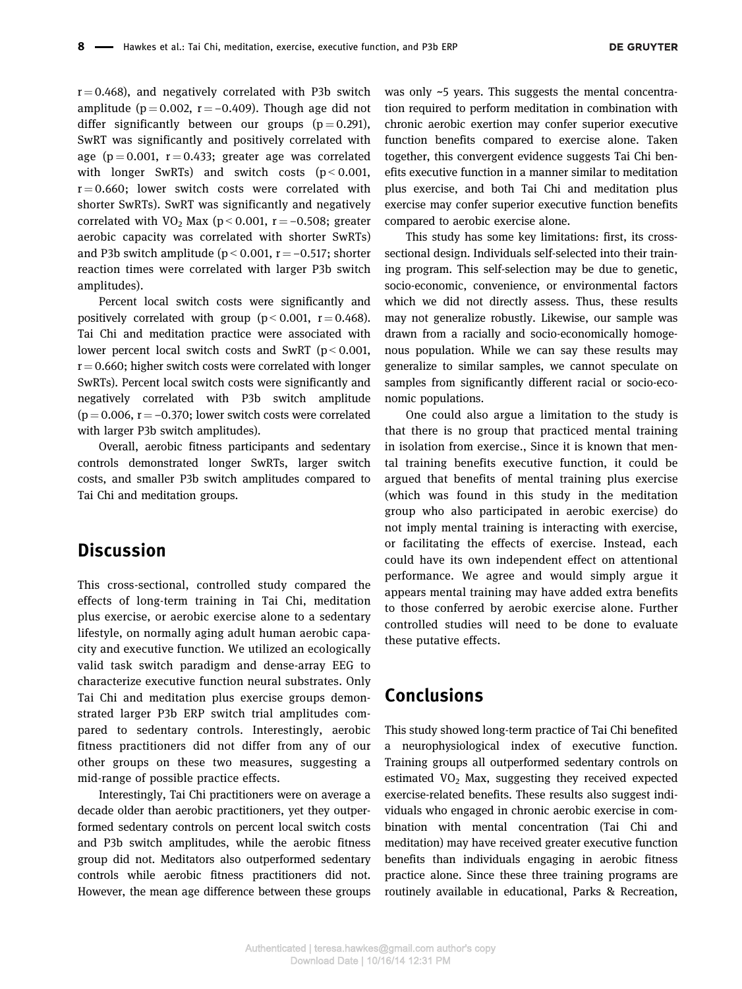$r = 0.468$ ), and negatively correlated with P3b switch amplitude (p = 0.002, r =  $-0.409$ ). Though age did not differ significantly between our groups  $(p = 0.291)$ , SwRT was significantly and positively correlated with age ( $p = 0.001$ ,  $r = 0.433$ ; greater age was correlated with longer SwRTs) and switch costs  $(p < 0.001,$  $r = 0.660$ ; lower switch costs were correlated with shorter SwRTs). SwRT was significantly and negatively correlated with VO<sub>2</sub> Max (p < 0.001, r =  $-0.508$ ; greater aerobic capacity was correlated with shorter SwRTs) and P3b switch amplitude ( $p < 0.001$ ,  $r = -0.517$ ; shorter reaction times were correlated with larger P3b switch amplitudes).

Percent local switch costs were significantly and positively correlated with group ( $p < 0.001$ ,  $r = 0.468$ ). Tai Chi and meditation practice were associated with lower percent local switch costs and SwRT ( $p < 0.001$ ,  $r = 0.660$ ; higher switch costs were correlated with longer SwRTs). Percent local switch costs were significantly and negatively correlated with P3b switch amplitude  $(p = 0.006, r = -0.370;$  lower switch costs were correlated with larger P3b switch amplitudes).

Overall, aerobic fitness participants and sedentary controls demonstrated longer SwRTs, larger switch costs, and smaller P3b switch amplitudes compared to Tai Chi and meditation groups.

### **Discussion**

This cross-sectional, controlled study compared the effects of long-term training in Tai Chi, meditation plus exercise, or aerobic exercise alone to a sedentary lifestyle, on normally aging adult human aerobic capacity and executive function. We utilized an ecologically valid task switch paradigm and dense-array EEG to characterize executive function neural substrates. Only Tai Chi and meditation plus exercise groups demonstrated larger P3b ERP switch trial amplitudes compared to sedentary controls. Interestingly, aerobic fitness practitioners did not differ from any of our other groups on these two measures, suggesting a mid-range of possible practice effects.

Interestingly, Tai Chi practitioners were on average a decade older than aerobic practitioners, yet they outperformed sedentary controls on percent local switch costs and P3b switch amplitudes, while the aerobic fitness group did not. Meditators also outperformed sedentary controls while aerobic fitness practitioners did not. However, the mean age difference between these groups was only ~5 years. This suggests the mental concentration required to perform meditation in combination with chronic aerobic exertion may confer superior executive function benefits compared to exercise alone. Taken together, this convergent evidence suggests Tai Chi benefits executive function in a manner similar to meditation plus exercise, and both Tai Chi and meditation plus exercise may confer superior executive function benefits compared to aerobic exercise alone.

This study has some key limitations: first, its crosssectional design. Individuals self-selected into their training program. This self-selection may be due to genetic, socio-economic, convenience, or environmental factors which we did not directly assess. Thus, these results may not generalize robustly. Likewise, our sample was drawn from a racially and socio-economically homogenous population. While we can say these results may generalize to similar samples, we cannot speculate on samples from significantly different racial or socio-economic populations.

One could also argue a limitation to the study is that there is no group that practiced mental training in isolation from exercise., Since it is known that mental training benefits executive function, it could be argued that benefits of mental training plus exercise (which was found in this study in the meditation group who also participated in aerobic exercise) do not imply mental training is interacting with exercise, or facilitating the effects of exercise. Instead, each could have its own independent effect on attentional performance. We agree and would simply argue it appears mental training may have added extra benefits to those conferred by aerobic exercise alone. Further controlled studies will need to be done to evaluate these putative effects.

## Conclusions

This study showed long-term practice of Tai Chi benefited a neurophysiological index of executive function. Training groups all outperformed sedentary controls on estimated  $VO<sub>2</sub>$  Max, suggesting they received expected exercise-related benefits. These results also suggest individuals who engaged in chronic aerobic exercise in combination with mental concentration (Tai Chi and meditation) may have received greater executive function benefits than individuals engaging in aerobic fitness practice alone. Since these three training programs are routinely available in educational, Parks & Recreation,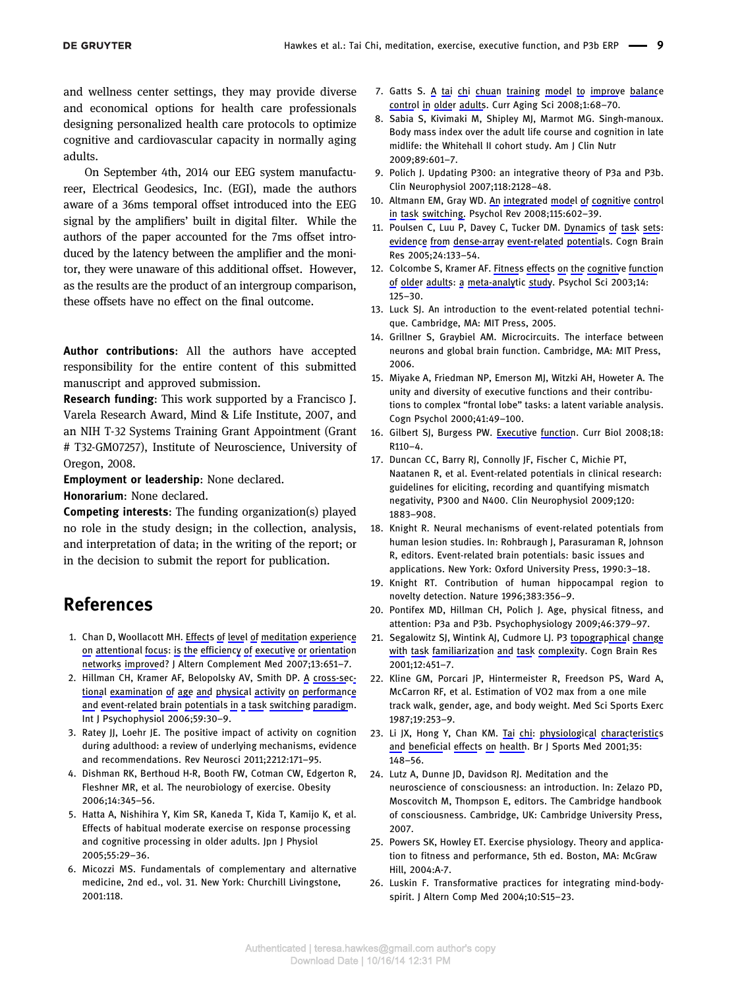and wellness center settings, they may provide diverse and economical options for health care professionals designing personalized health care protocols to optimize cognitive and cardiovascular capacity in normally aging adults.

On September 4th, 2014 our EEG system manufactureer, Electrical Geodesics, Inc. (EGI), made the authors aware of a 36ms temporal offset introduced into the EEG signal by the amplifiers' built in digital filter. While the authors of the paper accounted for the 7ms offset introduced by the latency between the amplifier and the monitor, they were unaware of this additional offset. However, as the results are the product of an intergroup comparison, these offsets have no effect on the final outcome.

Author contributions: All the authors have accepted responsibility for the entire content of this submitted manuscript and approved submission.

Research funding: This work supported by a Francisco J. Varela Research Award, Mind & Life Institute, 2007, and an NIH T-32 Systems Training Grant Appointment (Grant # T32-GM07257), Institute of Neuroscience, University of Oregon, 2008.

Employment or leadership: None declared. Honorarium: None declared.

Competing interests: The funding organization(s) played no role in the study design; in the collection, analysis, and interpretation of data; in the writing of the report; or in the decision to submit the report for publication.

### References

- 1. Chan D, Woollacott MH. Effects of level of meditation experience on attentional focus: is the efficiency of executive or orientation networks improved? J Altern Complement Med 2007;13:651–7.
- 2. Hillman CH, Kramer AF, Belopolsky AV, Smith DP. A cross-sectional examination of age and physical activity on performance and event-related brain potentials in a task switching paradigm. Int J Psychophysiol 2006;59:30–9.
- 3. Ratey JJ, Loehr JE. The positive impact of activity on cognition during adulthood: a review of underlying mechanisms, evidence and recommendations. Rev Neurosci 2011;2212:171–95.
- 4. Dishman RK, Berthoud H-R, Booth FW, Cotman CW, Edgerton R, Fleshner MR, et al. The neurobiology of exercise. Obesity 2006;14:345–56.
- 5. Hatta A, Nishihira Y, Kim SR, Kaneda T, Kida T, Kamijo K, et al. Effects of habitual moderate exercise on response processing and cognitive processing in older adults. Jpn J Physiol 2005;55:29–36.
- 6. Micozzi MS. Fundamentals of complementary and alternative medicine, 2nd ed., vol. 31. New York: Churchill Livingstone, 2001:118.
- 7. Gatts S. A tai chi chuan training model to improve balance control in older adults. Curr Aging Sci 2008;1:68–70.
- 8. Sabia S, Kivimaki M, Shipley MJ, Marmot MG. Singh-manoux. Body mass index over the adult life course and cognition in late midlife: the Whitehall II cohort study. Am J Clin Nutr 2009;89:601–7.
- 9. Polich J. Updating P300: an integrative theory of P3a and P3b. Clin Neurophysiol 2007;118:2128–48.
- 10. Altmann EM, Gray WD. An integrated model of cognitive control in task switching. Psychol Rev 2008;115:602–39.
- 11. Poulsen C, Luu P, Davey C, Tucker DM. Dynamics of task sets: evidence from dense-array event-related potentials. Cogn Brain Res 2005;24:133–54.
- 12. Colcombe S, Kramer AF. Fitness effects on the cognitive function of older adults: a meta-analytic study. Psychol Sci 2003;14: 125–30.
- 13. Luck SJ. An introduction to the event-related potential technique. Cambridge, MA: MIT Press, 2005.
- 14. Grillner S, Graybiel AM. Microcircuits. The interface between neurons and global brain function. Cambridge, MA: MIT Press, 2006.
- 15. Miyake A, Friedman NP, Emerson MJ, Witzki AH, Howeter A. The unity and diversity of executive functions and their contributions to complex "frontal lobe" tasks: a latent variable analysis. Cogn Psychol 2000;41:49–100.
- 16. Gilbert SJ, Burgess PW. Executive function. Curr Biol 2008;18: R110–4.
- 17. Duncan CC, Barry RJ, Connolly JF, Fischer C, Michie PT, Naatanen R, et al. Event-related potentials in clinical research: guidelines for eliciting, recording and quantifying mismatch negativity, P300 and N400. Clin Neurophysiol 2009;120: 1883–908.
- 18. Knight R. Neural mechanisms of event-related potentials from human lesion studies. In: Rohbraugh J, Parasuraman R, Johnson R, editors. Event-related brain potentials: basic issues and applications. New York: Oxford University Press, 1990:3–18.
- 19. Knight RT. Contribution of human hippocampal region to novelty detection. Nature 1996;383:356–9.
- 20. Pontifex MD, Hillman CH, Polich J. Age, physical fitness, and attention: P3a and P3b. Psychophysiology 2009;46:379–97.
- 21. Segalowitz SJ, Wintink AJ, Cudmore LJ. P3 topographical change with task familiarization and task complexity. Cogn Brain Res 2001;12:451–7.
- 22. Kline GM, Porcari JP, Hintermeister R, Freedson PS, Ward A, McCarron RF, et al. Estimation of VO2 max from a one mile track walk, gender, age, and body weight. Med Sci Sports Exerc 1987;19:253–9.
- 23. Li JX, Hong Y, Chan KM. Tai chi: physiological characteristics and beneficial effects on health. Br J Sports Med 2001;35: 148–56.
- 24. Lutz A, Dunne JD, Davidson RJ. Meditation and the neuroscience of consciousness: an introduction. In: Zelazo PD, Moscovitch M, Thompson E, editors. The Cambridge handbook of consciousness. Cambridge, UK: Cambridge University Press, 2007.
- 25. Powers SK, Howley ET. Exercise physiology. Theory and application to fitness and performance, 5th ed. Boston, MA: McGraw Hill, 2004:A-7.
- 26. Luskin F. Transformative practices for integrating mind-bodyspirit. J Altern Comp Med 2004;10:S15–23.